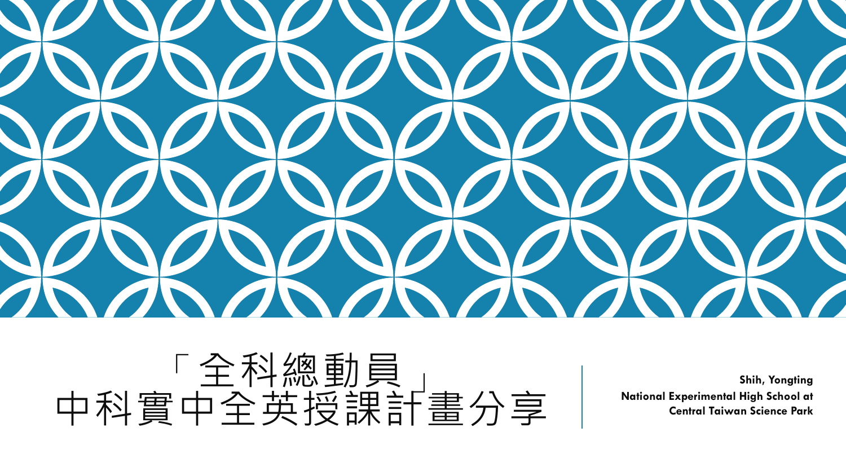

「全科總動員」 中科實中全英授課計畫分享

**Shih, Yongting National Experimental High School at Central Taiwan Science Park**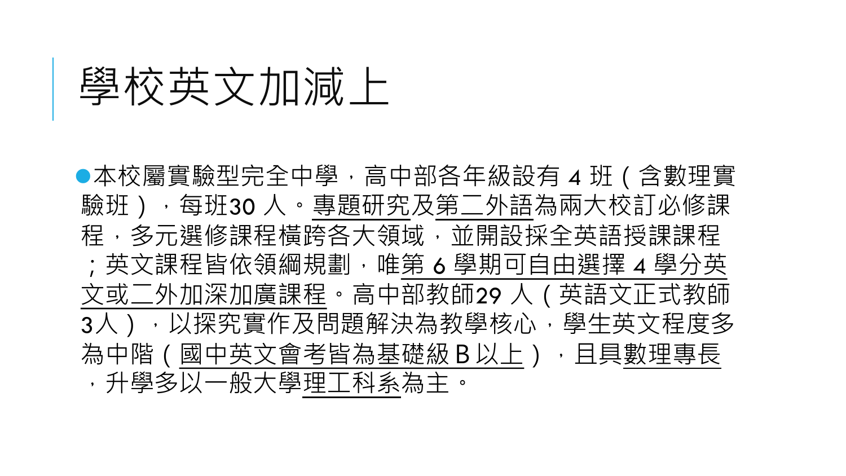## 學校英文加減上

●本校屬實驗型完全中學, 高中部各年級設有 4 班 ( 含數理實 驗班),每班30人。專題研究及第二外語為兩大校訂必修課 程,多元選修課程橫跨各大領域,並開設採全英語授課課程 ;英文課程皆依領綱規劃,唯第 6 學期可自由選擇 4 學分英 文或二外加深加廣課程。高中部教師29 人(英語文正式教師 3人),以探究實作及問題解決為教學核心,學生英文程度多 為中階(國中英文會考皆為基礎級B以上),且具數理專長 ,升學多以一般大學理工科系為主。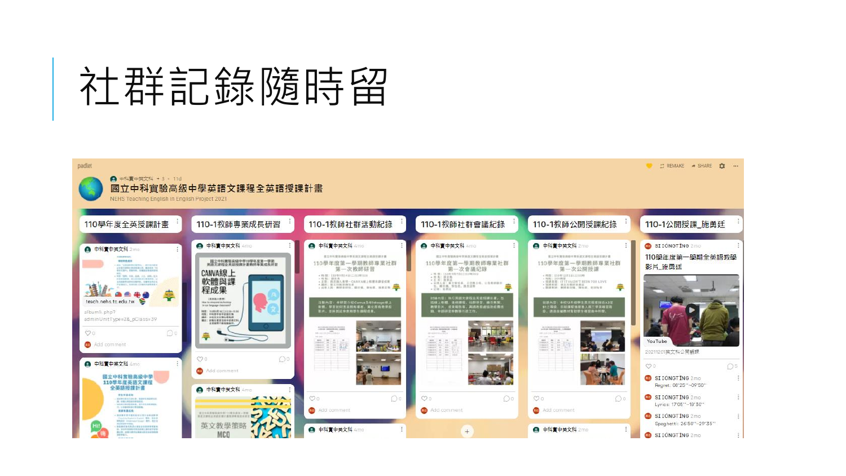# 社群記錄随時留

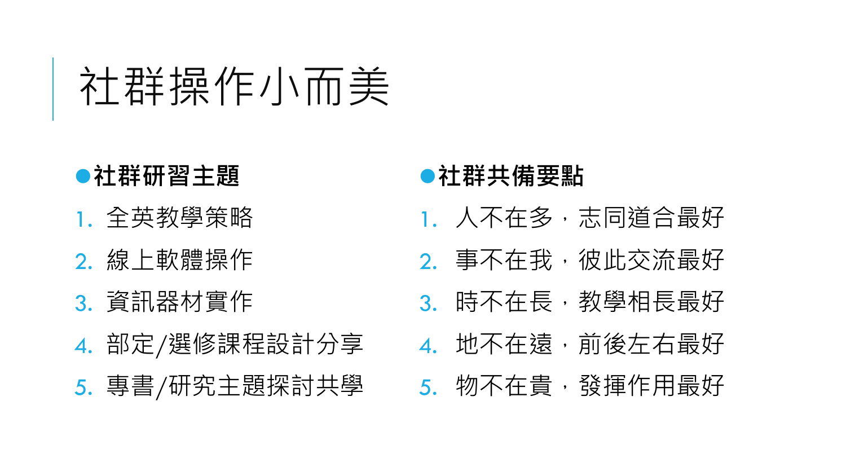# 社群操作小而美

#### 社群研習主題

- 1. 全英教學策略
- 2. 線上軟體操作
- 3. 資訊器材實作
- 4. 部定/選修課程設計分享 5. 專書/研究主題探討共學

#### ●社群共備要點

- 1. 人不在多,志同道合最好
- 2. 事不在我,彼此交流最好
- 3. 時不在長,教學相長最好
- 4. 地不在遠,前後左右最好
- 5. 物不在貴,發揮作用最好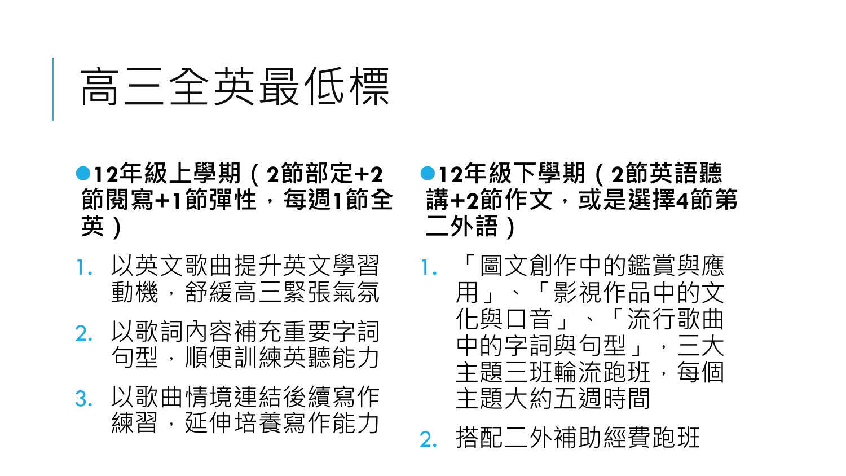# 高三全英最低標

- **12**年級上學期(**2**節部定**+2** 節閱寫**+1**節彈性,每週**1**節全 英)
- 1. 以英文歌曲提升英文學習 動機,舒緩高三緊張氣氛
- 2. 以歌詞內容補充重要字詞 句型,順便訓練英聽能力
- 3. 以歌曲情境連結後續寫作 練習,延伸培養寫作能力
- **12**年級下學期(**2**節英語聽 講**+2**節作文,或是選擇**4**節第 二外語)
- 1. 「圖文創作中的鑑賞與應 用」、「影視作品中的文 化與口音」、「流行歌曲 中的字詞與句型」,三大 主題三班輪流跑班,每個 主題大約五週時間
- 2. 搭配二外補助經費跑班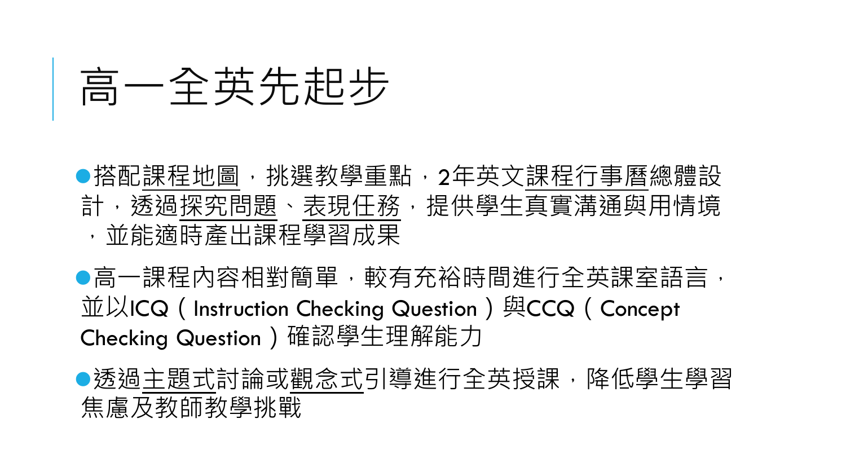# 高一全英先起步

●搭配課程地圖,挑選教學重點,2年英文課程行事曆總體設 計,透過探究問題、表現任務,提供學生真實溝通與用情境 ,並能適時產出課程學習成果

●高一課程內容相對簡單,較有充裕時間進行全英課室語言, 並以ICQ (Instruction Checking Question) 與CCQ (Concept Checking Question)確認學生理解能力

●透過主題式討論或觀念式引導進行全英授課,降低學生學習 焦慮及教師教學挑戰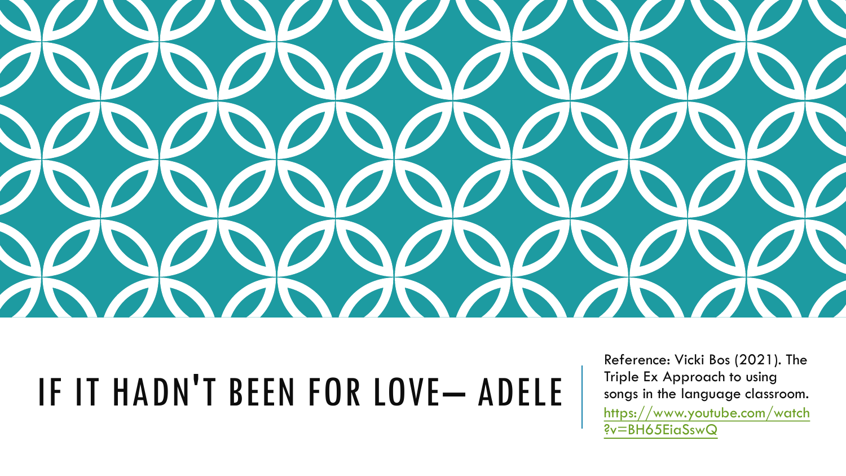

## IF IT HADN'T BEEN FOR LOVE– ADELE

Reference: Vicki Bos (2021). The Triple Ex Approach to using songs in the language classroom. [https://www.youtube.com/watch](https://www.youtube.com/watch?v=BH65EiaSswQ) [?v=BH65EiaSswQ](https://www.youtube.com/watch?v=BH65EiaSswQ)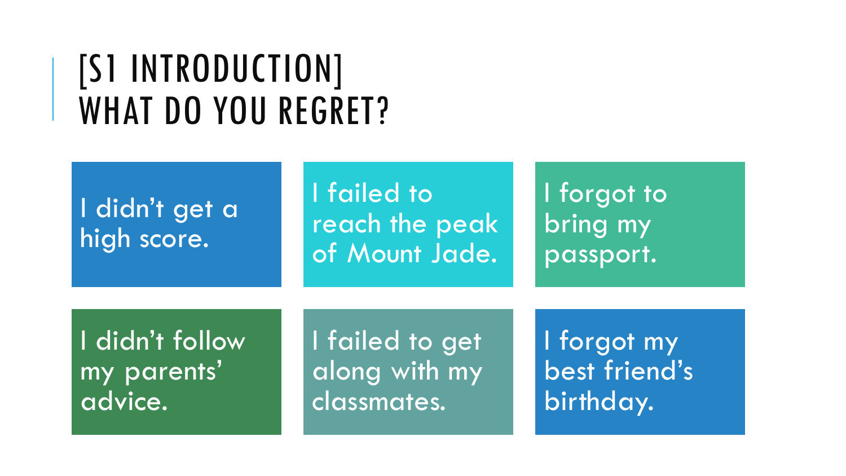### [S1 INTRODUCTION] WHAT DO YOU REGRET?

### I didn't get a high score.

I failed to reach the peak of Mount Jade.

I forgot to bring my passport.

I didn't follow my parents' advice.

I failed to get along with my classmates.

I forgot my best friend's birthday.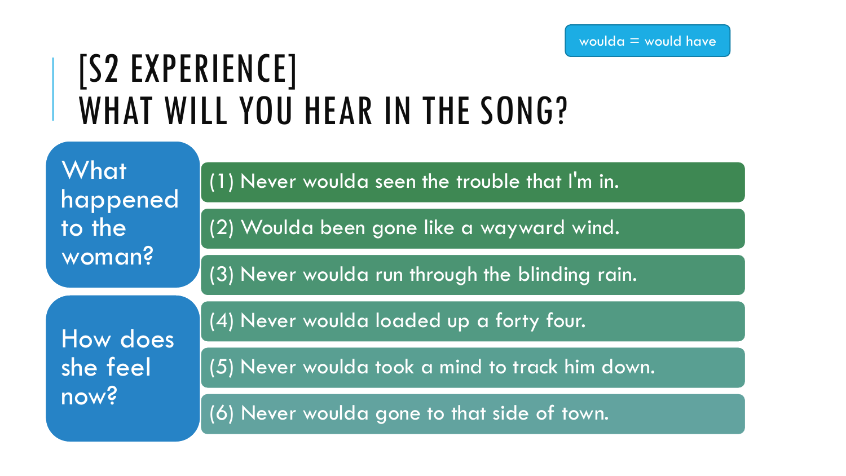### [S2 EXPERIENCE] WHAT WILL YOU HEAR IN THE SONG?

| What<br>happened<br>to the<br>woman? | (1) Never woulda seen the trouble that I'm in.  |  |
|--------------------------------------|-------------------------------------------------|--|
|                                      | (2) Woulda been gone like a wayward wind.       |  |
|                                      | (3) Never woulda run through the blinding rain. |  |
| How does<br>she feel<br>now?         | (4) Never woulda loaded up a forty four.        |  |
|                                      | (5) Never woulda took a mind to track him down. |  |
|                                      | (6) Never woulda gone to that side of town.     |  |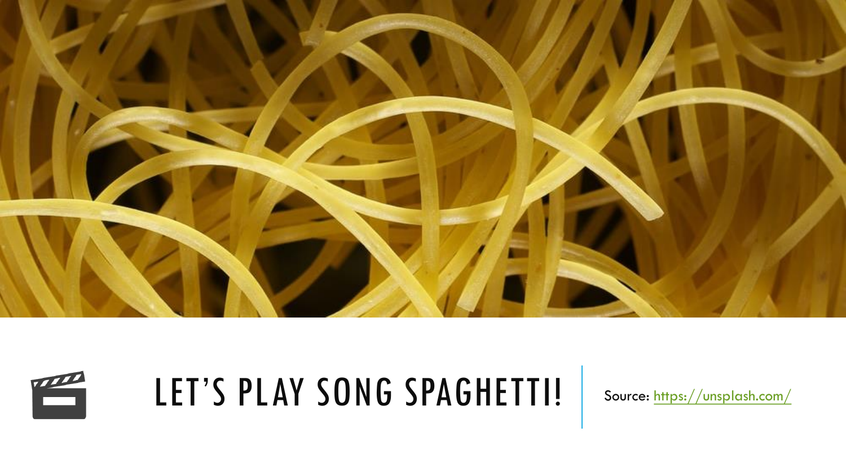



## LET'S PLAY SONG SPAGHETTI! Source:<https://unsplash.com/>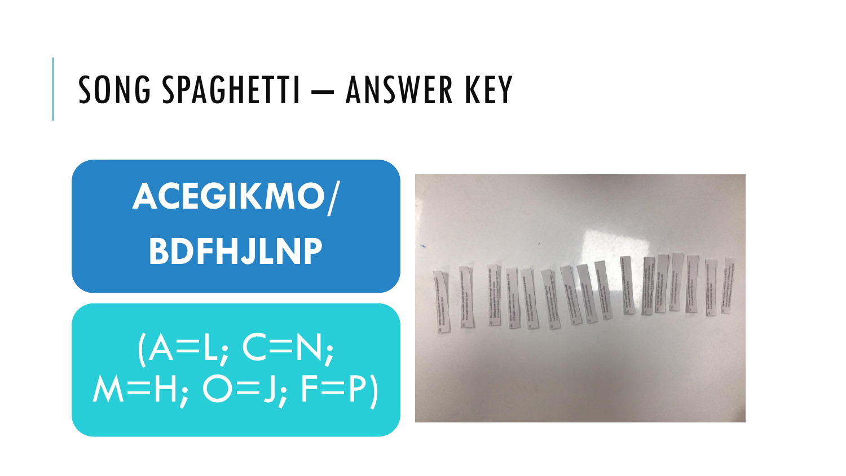### SONG SPAGHETTI – ANSWER KEY

# **ACEGIKMO/ BDFHJLNP**

### $(A=L; C=N;$  $M=H; O=J; F=P$

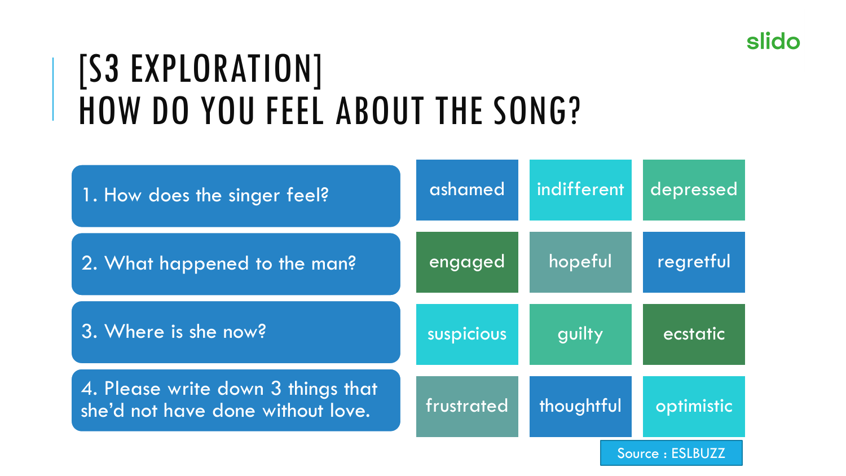#### slido

## [S3 EXPLORATION] HOW DO YOU FEEL ABOUT THE SONG?

| 1. How does the singer feel?                                            | ashamed    | indifferent | depressed        |
|-------------------------------------------------------------------------|------------|-------------|------------------|
| 2. What happened to the man?                                            | engaged    | hopeful     | regretful        |
| 3. Where is she now?                                                    | suspicious | guilty      | <u> ecstatic</u> |
| 4. Please write down 3 things that<br>she'd not have done without love. | frustrated | thoughtful  | optimistic       |
|                                                                         |            |             | Source: ESLBUZZ  |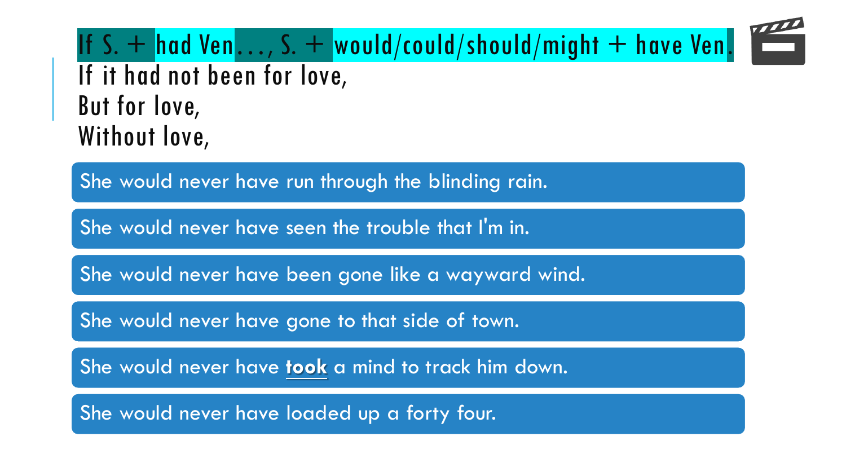If S. + had Ven..., S. + would/could/should/might + have Ven. If it had not been for love, But for love, Without love,

She would never have run through the blinding rain.

She would never have seen the trouble that I'm in.

She would never have been gone like a wayward wind.

She would never have gone to that side of town.

She would never have **took** a mind to track him down.

She would never have loaded up a forty four.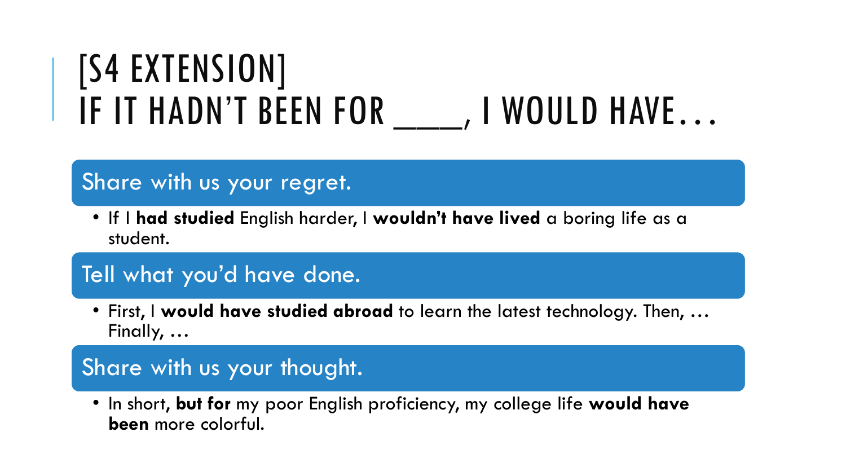## [S4 EXTENSION] IF IT HADN'T BEEN FOR \_\_\_\_\_, I WOULD HAVE...

#### Share with us your regret.

• If I **had studied** English harder, I **wouldn't have lived** a boring life as a student.

#### Tell what you'd have done.

• First, I **would have studied abroad** to learn the latest technology. Then, … Finally, …

#### Share with us your thought.

• In short, **but for** my poor English proficiency, my college life **would have been** more colorful.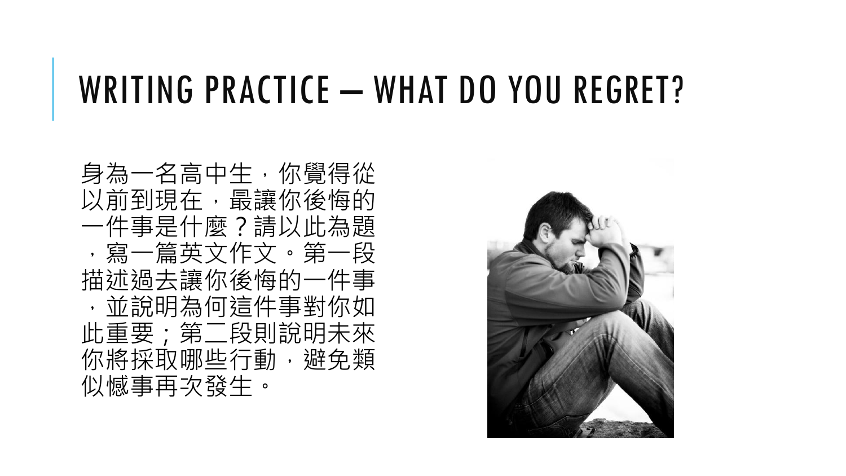### WRITING PRACTICE – WHAT DO YOU REGRET?

身為一名高中生,你覺得從 以前到現在,最讓你後悔的 一件事是什麼?請以此為題 ,寫一篇英文作文。第一段 描述過去讓你後悔的一件事 ,並說明為何這件事對你如 此重要;第二段則說明未來 你將採取哪些行動,避免類 似憾事再次發生。

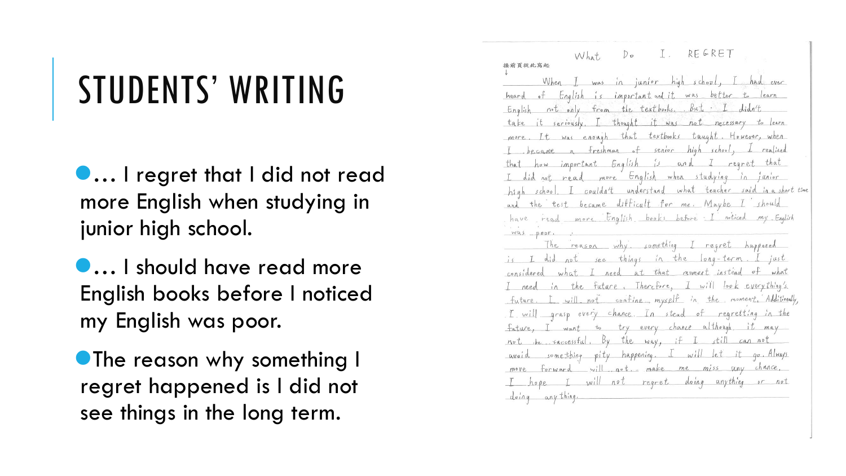## STUDENTS' WRITING

… I regret that I did not read more English when studying in junior high school.

… I should have read more English books before I noticed my English was poor.

**• The reason why something I** regret happened is I did not see things in the long term.

I. REGRET  $D_{\mathcal{D}}$ What 接前頁從此寫起 When I was in juntor high school, I had ever heard of English is important and it was better to learn English not only from the textbooks. But I didn't take it seriously. I thought it was not necessary to learn more. It was enough that textbooks taught. However, when I became a freshman of senior high school, I realized that how important English is and I regret that I did not read more English when studying in junior high school. I couldn't understand what teacher said in a short time and the test became difficult for me. Maybe I should have read more English books before I noticed my English  $WQS = poor.$ The reason why something I regret happened is I did not see things in the long-term. I just considered what I need at that noment instead of what I need in the future. Therefore, I will look everything's. future. I will not confine myself in the moment Additionally, I will grasp every chance. In stead of regretting in the fature, I want to try every chance although it may not be successful. By the way, if I still can not avoid something pity happening. I will let it go. Always move forward will not. make me miss any chance, I hope I will not regret doing anything or not doing anything.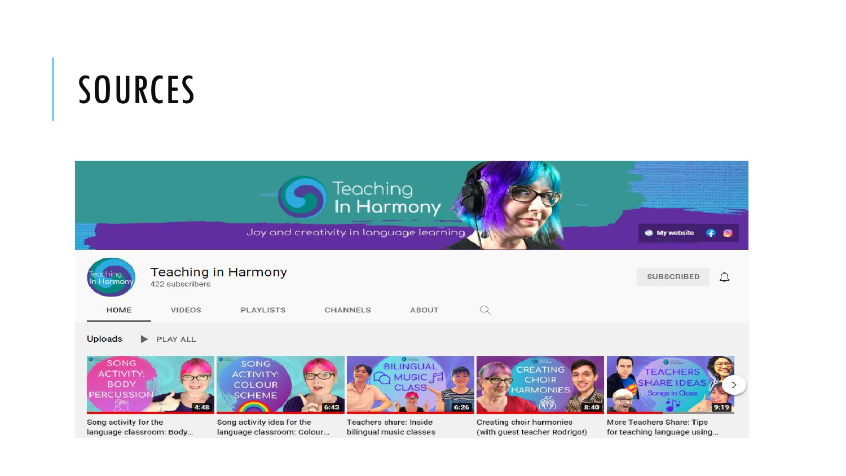## SOURCES